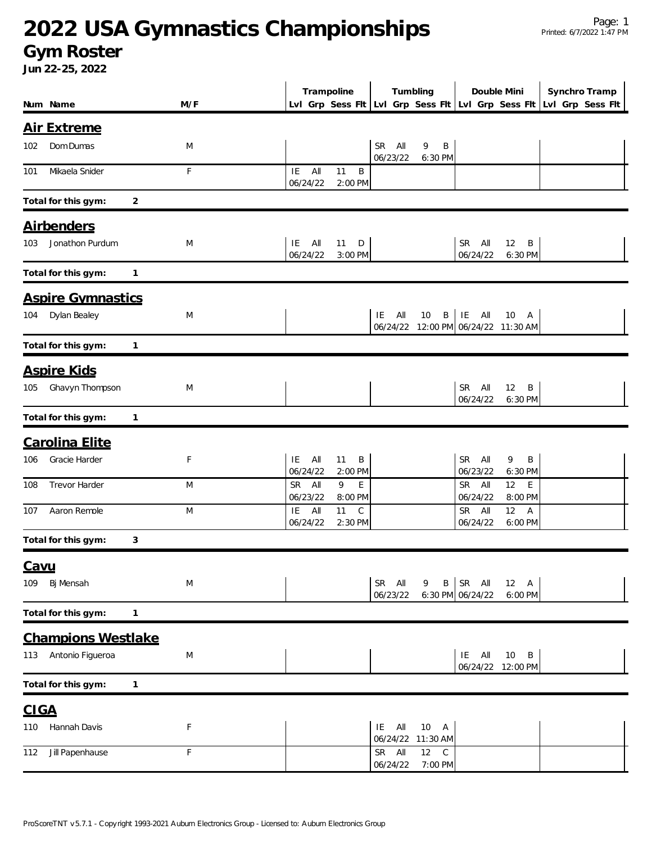#### **Gym Roster**

|             | Num Name                                  | M/F       | Trampoline<br>Synchro Tramp<br>Tumbling<br>Double Mini<br>Lvl Grp Sess Fit Lvl Grp Sess Fit Lvl Grp Sess Fit Lvl Grp Sess Fit |  |
|-------------|-------------------------------------------|-----------|-------------------------------------------------------------------------------------------------------------------------------|--|
|             |                                           |           |                                                                                                                               |  |
| 102         | <b>Air Extreme</b><br>Dom Dumas           | M         | SR<br>B<br>All<br>9<br>06/23/22<br>6:30 PM                                                                                    |  |
| 101         | Mikaela Snider                            | F         | IE<br>All<br>11<br>B<br>06/24/22<br>2:00 PM                                                                                   |  |
|             | Total for this gym:<br>$\overline{2}$     |           |                                                                                                                               |  |
|             | <b>Airbenders</b>                         |           |                                                                                                                               |  |
| 103         | Jonathon Purdum                           | M         | IE<br><b>SR</b><br>B<br>All<br>11<br>D<br>All<br>12<br>06/24/22<br>3:00 PM<br>06/24/22<br>6:30 PM                             |  |
|             | Total for this gym:<br>$\mathbf{1}$       |           |                                                                                                                               |  |
|             | <b>Aspire Gymnastics</b>                  |           |                                                                                                                               |  |
| 104         | Dylan Bealey                              | M         | IE<br>$\sf B$<br>All<br>IE<br>All<br>10<br>10 A<br>06/24/22 12:00 PM 06/24/22 11:30 AM                                        |  |
|             | Total for this gym:<br>$\mathbf{1}$       |           |                                                                                                                               |  |
|             | <b>Aspire Kids</b><br>105 Ghavyn Thompson | M         | <b>SR</b><br>All<br>12<br>B                                                                                                   |  |
|             |                                           |           | 06/24/22<br>6:30 PM                                                                                                           |  |
|             | Total for this gym:<br>$\mathbf{1}$       |           |                                                                                                                               |  |
|             | Carolina Elite                            |           |                                                                                                                               |  |
| 106         | Gracie Harder                             | F         | IE<br>All<br>SR<br>All<br>9<br>B<br>11<br>B<br>06/24/22<br>06/23/22<br>2:00 PM<br>6:30 PM                                     |  |
| 108         | <b>Trevor Harder</b>                      | M         | SR All<br>9<br>E<br>12<br>E<br>SR All<br>06/23/22<br>8:00 PM<br>06/24/22<br>8:00 PM                                           |  |
| 107         | Aaron Remole                              | ${\sf M}$ | $\mathsf C$<br>IE<br>All<br>12<br>$\overline{A}$<br>11<br>SR All<br>06/24/22<br>2:30 PM<br>06/24/22<br>6:00 PM                |  |
|             | Total for this gym:<br>3                  |           |                                                                                                                               |  |
| Cavu        |                                           |           |                                                                                                                               |  |
| 109         | Bj Mensah                                 | M         | SR All<br>SR All<br>9<br>B<br>12 A<br>06/23/22<br>6:30 PM 06/24/22<br>6:00 PM                                                 |  |
|             | Total for this gym:<br>$\mathbf{1}$       |           |                                                                                                                               |  |
|             | <b>Champions Westlake</b>                 |           |                                                                                                                               |  |
| 113         | Antonio Figueroa                          | M         | IE<br>All<br>10<br>B<br>06/24/22 12:00 PM                                                                                     |  |
|             | Total for this gym:<br>1                  |           |                                                                                                                               |  |
| <b>CIGA</b> |                                           |           |                                                                                                                               |  |
| 110         | Hannah Davis                              | F         | IE<br>All<br>$10$<br>A<br>06/24/22<br>11:30 AM                                                                                |  |
|             | 112 Jill Papenhause                       | F         | SR All<br>12<br>$\mathbb{C}$<br>7:00 PM<br>06/24/22                                                                           |  |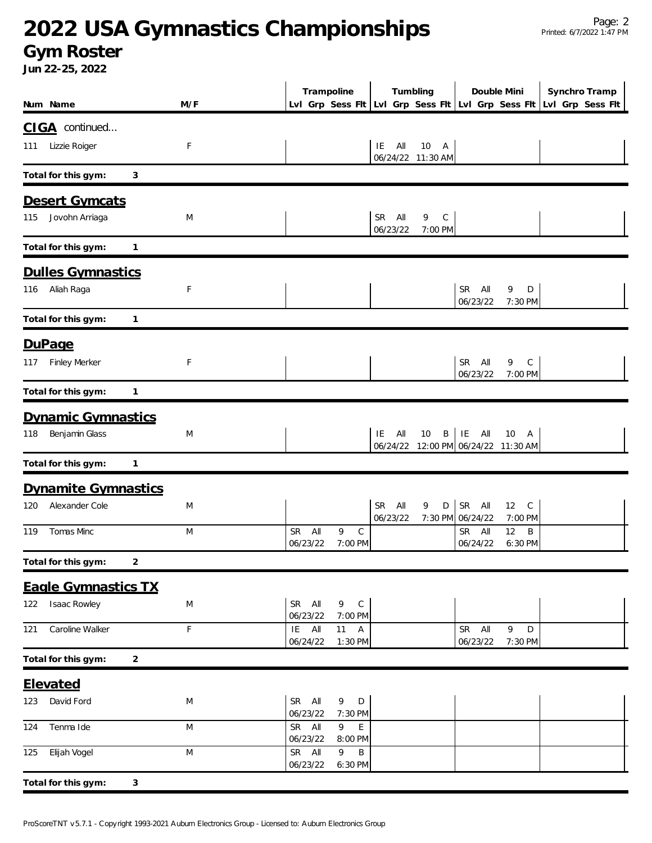### **Gym Roster**

|     | Num Name                                     | M/F                                                                                   | Trampoline<br>Synchro Tramp<br>Tumbling<br>Double Mini<br>Lvl Grp Sess Fit Lvl Grp Sess Fit Lvl Grp Sess Fit Lvl Grp Sess Fit |  |
|-----|----------------------------------------------|---------------------------------------------------------------------------------------|-------------------------------------------------------------------------------------------------------------------------------|--|
|     | CIGA continued                               |                                                                                       |                                                                                                                               |  |
| 111 | Lizzie Roiger                                | F                                                                                     | IE<br>10<br>All<br>A<br>06/24/22 11:30 AM                                                                                     |  |
|     | Total for this gym:                          | 3                                                                                     |                                                                                                                               |  |
|     | Desert Gymcats                               |                                                                                       |                                                                                                                               |  |
| 115 | Jovohn Arriaga                               | M                                                                                     | <b>SR</b><br>C<br>All<br>9<br>06/23/22<br>7:00 PM                                                                             |  |
|     | Total for this gym:                          | $\mathbf{1}$                                                                          |                                                                                                                               |  |
| 116 | <b>Dulles Gymnastics</b><br>Aliah Raga       | F                                                                                     | <b>SR</b><br>All<br>9<br>D<br>06/23/22<br>7:30 PM                                                                             |  |
|     | Total for this gym:                          | $\mathbf{1}$                                                                          |                                                                                                                               |  |
| 117 | <b>DuPage</b><br>Finley Merker               | F                                                                                     | <b>SR</b><br>All<br>9<br>C                                                                                                    |  |
|     |                                              |                                                                                       | 06/23/22<br>7:00 PM                                                                                                           |  |
|     | Total for this gym:                          | $\mathbf{1}$                                                                          |                                                                                                                               |  |
| 118 | <b>Dynamic Gymnastics</b><br>Benjamin Glass  | M                                                                                     | $\ensuremath{\mathsf{IE}}$<br>IE<br>B<br>All<br>All<br>10<br>10<br>Α                                                          |  |
|     | Total for this gym:                          | $\mathbf{1}$                                                                          | 06/24/22 12:00 PM 06/24/22 11:30 AM                                                                                           |  |
|     |                                              |                                                                                       |                                                                                                                               |  |
| 120 | <b>Dynamite Gymnastics</b><br>Alexander Cole | M                                                                                     | <b>SR</b><br>$\mathsf D$<br>SR<br>All<br>C<br>All<br>9<br>12<br>06/23/22<br>7:30 PM 06/24/22<br>7:00 PM                       |  |
| 119 | Tomas Minc                                   | M                                                                                     | <b>SR</b><br>9<br>C<br>12<br>B<br>All<br><b>SR</b><br>All<br>06/23/22<br>7:00 PM<br>06/24/22<br>6:30 PM                       |  |
|     | Total for this gym:                          | $\overline{2}$                                                                        |                                                                                                                               |  |
|     | <b>Eagle Gymnastics TX</b>                   |                                                                                       |                                                                                                                               |  |
| 122 | Isaac Rowley                                 | M                                                                                     | <b>SR</b><br>All<br>9<br>$\mathsf C$<br>06/23/22<br>7:00 PM                                                                   |  |
| 121 | Caroline Walker                              | F                                                                                     | IE<br>SR<br>9<br>D<br>All<br>11<br>A<br>All<br>06/24/22<br>1:30 PM<br>06/23/22<br>7:30 PM                                     |  |
|     | Total for this gym:                          | $\overline{2}$                                                                        |                                                                                                                               |  |
|     | Elevated                                     |                                                                                       |                                                                                                                               |  |
| 123 | David Ford                                   | M                                                                                     | ${\sf SR}$<br>All<br>9<br>D<br>06/23/22<br>7:30 PM                                                                            |  |
| 124 | Tenma Ide                                    | $\mathsf{M}% _{T}=\mathsf{M}_{T}\!\left( a,b\right) ,\ \mathsf{M}_{T}=\mathsf{M}_{T}$ | E<br>SR All<br>9<br>06/23/22<br>8:00 PM                                                                                       |  |
| 125 | Elijah Vogel                                 | $\mathsf{M}% _{T}=\mathsf{M}_{T}\!\left( a,b\right) ,\ \mathsf{M}_{T}=\mathsf{M}_{T}$ | SR All<br>9<br>B<br>06/23/22<br>6:30 PM                                                                                       |  |
|     | Total for this gym:                          | 3                                                                                     |                                                                                                                               |  |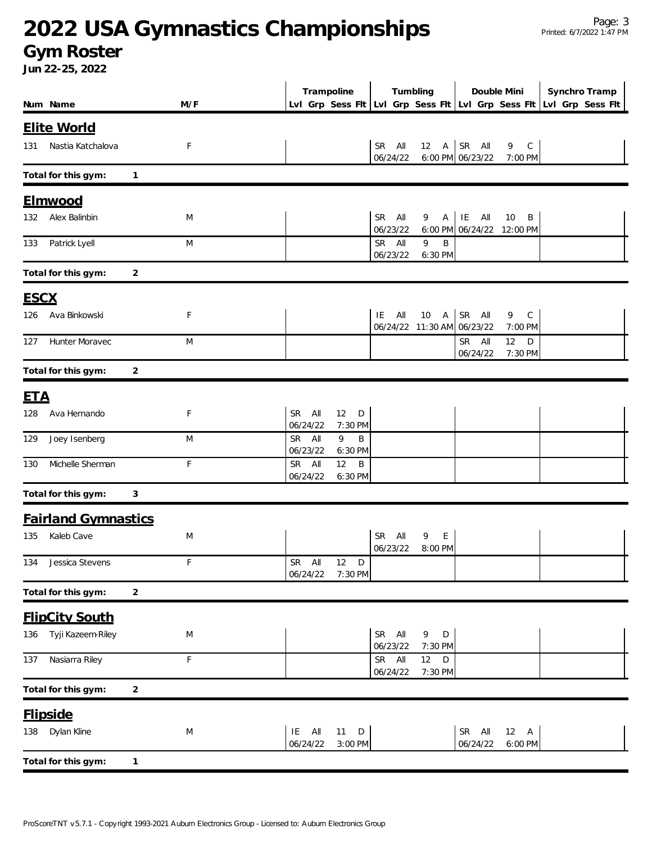### **Gym Roster**

|             | Num Name                                     | M/F                                                                                   | Trampoline                              | Tumbling                                            | Double Mini<br>LvI Grp Sess FIt LvI Grp Sess FIt LvI Grp Sess FIt LvI Grp Sess FIt | Synchro Tramp |
|-------------|----------------------------------------------|---------------------------------------------------------------------------------------|-----------------------------------------|-----------------------------------------------------|------------------------------------------------------------------------------------|---------------|
|             | <b>Elite World</b>                           |                                                                                       |                                         |                                                     |                                                                                    |               |
|             | 131 Nastia Katchalova                        | F                                                                                     |                                         | SR All                                              | 12 A SR All<br>9 C<br>06/24/22 6:00 PM 06/23/22 7:00 PM                            |               |
|             | Total for this gym:                          | $\mathbf{1}$                                                                          |                                         |                                                     |                                                                                    |               |
|             | Elmwood                                      |                                                                                       |                                         |                                                     |                                                                                    |               |
|             | 132 Alex Balinbin                            | M                                                                                     |                                         | SR All<br>9<br>A                                    | IE All<br>10 B                                                                     |               |
|             | 133 Patrick Lyell                            | M                                                                                     |                                         | 06/23/22<br>9<br>B<br>SR All<br>06/23/22<br>6:30 PM | 6:00 PM 06/24/22 12:00 PM                                                          |               |
|             | Total for this gym:                          | 2                                                                                     |                                         |                                                     |                                                                                    |               |
| <u>ESCX</u> |                                              |                                                                                       |                                         |                                                     |                                                                                    |               |
|             | 126 Ava Binkowski                            | F                                                                                     |                                         | 10 A<br>$IE$ All<br>06/24/22 11:30 AM 06/23/22      | SR All<br>9<br>$\mathsf C$<br>7:00 PM                                              |               |
|             | 127 Hunter Moravec                           | M                                                                                     |                                         |                                                     | SR All<br>12<br>D<br>06/24/22<br>7:30 PM                                           |               |
|             | Total for this gym:                          | 2                                                                                     |                                         |                                                     |                                                                                    |               |
| <u>ETA</u>  |                                              |                                                                                       |                                         |                                                     |                                                                                    |               |
|             | 128 Ava Hernando                             | F                                                                                     | SR All<br>12 D<br>06/24/22<br>7:30 PM   |                                                     |                                                                                    |               |
|             | 129 Joey Isenberg                            | $\mathsf{M}% _{T}=\mathsf{M}_{T}\!\left( a,b\right) ,\ \mathsf{M}_{T}=\mathsf{M}_{T}$ | B<br>SR All<br>9<br>06/23/22<br>6:30 PM |                                                     |                                                                                    |               |
|             | 130 Michelle Sherman                         | F                                                                                     | SR All<br>12<br>B                       |                                                     |                                                                                    |               |
|             | Total for this gym:                          | $\sqrt{3}$                                                                            | 06/24/22<br>6:30 PM                     |                                                     |                                                                                    |               |
|             |                                              |                                                                                       |                                         |                                                     |                                                                                    |               |
|             | <b>Fairland Gymnastics</b><br>135 Kaleb Cave | M                                                                                     |                                         | SR All<br>E<br>9                                    |                                                                                    |               |
|             |                                              |                                                                                       |                                         | 06/23/22<br>8:00 PM                                 |                                                                                    |               |
|             | 134 Jessica Stevens                          | $\mathsf F$                                                                           | SR All<br>12 D<br>06/24/22<br>7:30 PM   |                                                     |                                                                                    |               |
|             | Total for this gym:                          | $\overline{a}$                                                                        |                                         |                                                     |                                                                                    |               |
|             | <b>FlipCity South</b>                        |                                                                                       |                                         |                                                     |                                                                                    |               |
|             | 136 Tyji Kazeem-Riley                        | M                                                                                     |                                         | SR All<br>9<br>D<br>06/23/22<br>7:30 PM             |                                                                                    |               |
| 137         | Nasiarra Riley                               | $\mathsf F$                                                                           |                                         | SR All<br>12 D<br>06/24/22<br>7:30 PM               |                                                                                    |               |
|             | Total for this gym:                          | $\overline{2}$                                                                        |                                         |                                                     |                                                                                    |               |
|             | <b>Flipside</b>                              |                                                                                       |                                         |                                                     |                                                                                    |               |
|             | 138 Dylan Kline                              | M                                                                                     | IE All<br>$11$ D<br>06/24/22<br>3:00 PM |                                                     | SR All<br>12 A<br>06/24/22<br>6:00 PM                                              |               |
|             | Total for this gym:                          | $\mathbf{1}$                                                                          |                                         |                                                     |                                                                                    |               |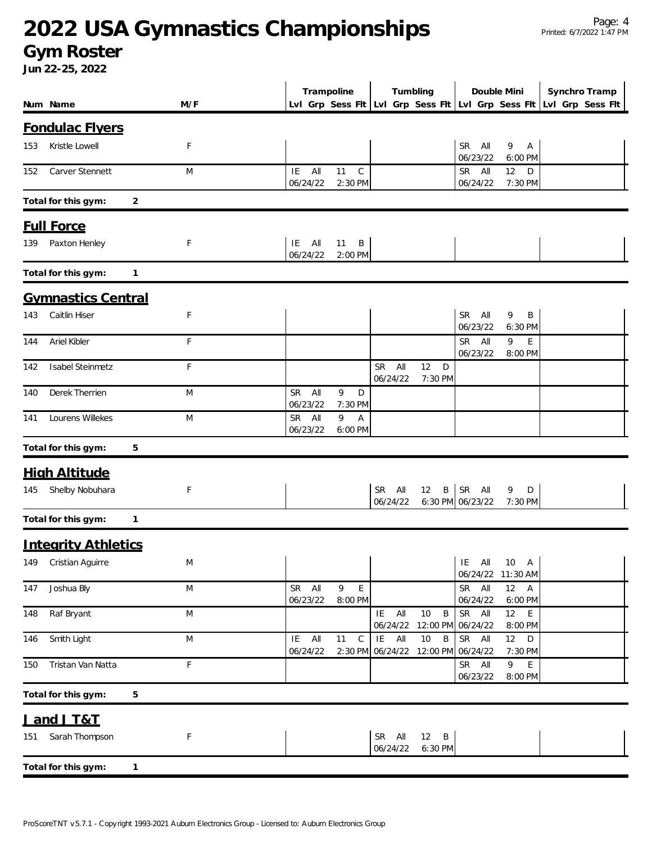### **Gym Roster**

|     |                            |                | Trampoline                             |                                                         | Tumbling                | Double Mini                   |                                    | Synchro Tramp                                                       |
|-----|----------------------------|----------------|----------------------------------------|---------------------------------------------------------|-------------------------|-------------------------------|------------------------------------|---------------------------------------------------------------------|
|     | Num Name                   | M/F            |                                        |                                                         |                         |                               |                                    | Lvl Grp Sess Fit Lvl Grp Sess Fit Lvl Grp Sess Fit Lvl Grp Sess Fit |
|     | <b>Fondulac Flyers</b>     |                |                                        |                                                         |                         |                               |                                    |                                                                     |
| 153 | Kristle Lowell             | F              |                                        |                                                         |                         | <b>SR</b><br>All<br>06/23/22  | 9<br>Α<br>6:00 PM                  |                                                                     |
| 152 | Carver Stennett            | M              | IE<br>All<br>11                        | $\mathsf C$                                             |                         | SR All                        | 12<br>D                            |                                                                     |
|     |                            |                | 06/24/22                               | 2:30 PM                                                 |                         | 06/24/22                      | 7:30 PM                            |                                                                     |
|     | Total for this gym:        | $\overline{2}$ |                                        |                                                         |                         |                               |                                    |                                                                     |
|     | <b>Full Force</b>          |                |                                        |                                                         |                         |                               |                                    |                                                                     |
| 139 | Paxton Henley              | F              | IE<br>All<br>11                        | Β                                                       |                         |                               |                                    |                                                                     |
|     |                            |                | 06/24/22                               | 2:00 PM                                                 |                         |                               |                                    |                                                                     |
|     | Total for this gym:        | $\mathbf{1}$   |                                        |                                                         |                         |                               |                                    |                                                                     |
|     | <b>Gymnastics Central</b>  |                |                                        |                                                         |                         |                               |                                    |                                                                     |
| 143 | Caitlin Hiser              | F              |                                        |                                                         |                         | <b>SR</b><br>All              | 9<br>B                             |                                                                     |
| 144 | Ariel Kibler               | F              |                                        |                                                         |                         | 06/23/22<br><b>SR</b><br>All  | 6:30 PM<br>E<br>9                  |                                                                     |
|     |                            |                |                                        |                                                         |                         | 06/23/22                      | 8:00 PM                            |                                                                     |
| 142 | Isabel Steinmetz           | F              |                                        | <b>SR</b><br>All                                        | 12<br>D                 |                               |                                    |                                                                     |
| 140 | Derek Therrien             | M              | <b>SR</b><br>All<br>9                  | 06/24/22<br>D                                           | 7:30 PM                 |                               |                                    |                                                                     |
|     |                            |                | 06/23/22                               | 7:30 PM                                                 |                         |                               |                                    |                                                                     |
| 141 | Lourens Willekes           | M              | SR<br>All<br>9<br>06/23/22             | Α<br>6:00 PM                                            |                         |                               |                                    |                                                                     |
|     | Total for this gym:        | 5              |                                        |                                                         |                         |                               |                                    |                                                                     |
|     |                            |                |                                        |                                                         |                         |                               |                                    |                                                                     |
|     | <b>High Altitude</b>       |                |                                        |                                                         |                         |                               |                                    |                                                                     |
| 145 | Shelby Nobuhara            | F              |                                        | <b>SR</b><br>All<br>06/24/22                            | B<br>12                 | SR<br>All<br>6:30 PM 06/23/22 | D<br>9<br>7:30 PM                  |                                                                     |
|     | Total for this gym:        | $\mathbf{1}$   |                                        |                                                         |                         |                               |                                    |                                                                     |
|     |                            |                |                                        |                                                         |                         |                               |                                    |                                                                     |
|     | <b>Integrity Athletics</b> |                |                                        |                                                         |                         |                               |                                    |                                                                     |
| 149 | Cristian Aguirre           | M              |                                        |                                                         |                         | IE<br>All<br>06/24/22         | $10$<br>$\overline{A}$<br>11:30 AM |                                                                     |
| 147 | Joshua Bly                 | M              | SR All<br>9                            | $\mathsf{E}$                                            |                         | <b>SR</b><br>All              | 12<br>$\mathsf{A}$                 |                                                                     |
| 148 | Raf Bryant                 | M              | 06/23/22                               | 8:00 PM<br>$\mathsf{All}$<br>IE                         | $10\,$<br>$\sf B$       | 06/24/22<br>SR All            | 6:00 PM<br>12<br>E                 |                                                                     |
|     |                            |                |                                        | 06/24/22                                                | 12:00 PM                | 06/24/22                      | 8:00 PM                            |                                                                     |
| 146 | Smith Light                | M              | IE<br>$\mathsf{All}$<br>11<br>06/24/22 | $\mathsf C$<br>IE<br>$\mathsf{All}$<br>2:30 PM 06/24/22 | $10\,$<br>B<br>12:00 PM | SR All<br>06/24/22            | 12<br>D<br>7:30 PM                 |                                                                     |
| 150 | Tristan Van Natta          | $\mathsf F$    |                                        |                                                         |                         | SR All                        | 9<br>E                             |                                                                     |
|     |                            |                |                                        |                                                         |                         | 06/23/22                      | 8:00 PM                            |                                                                     |
|     | Total for this gym:        | 5              |                                        |                                                         |                         |                               |                                    |                                                                     |
|     | <u>Jand J T&amp;T</u>      |                |                                        |                                                         |                         |                               |                                    |                                                                     |
| 151 | Sarah Thompson             | F              |                                        | SR All                                                  | 12<br>$\sf B$           |                               |                                    |                                                                     |
|     |                            |                |                                        | 06/24/22                                                | 6:30 PM                 |                               |                                    |                                                                     |
|     | Total for this gym:        | 1              |                                        |                                                         |                         |                               |                                    |                                                                     |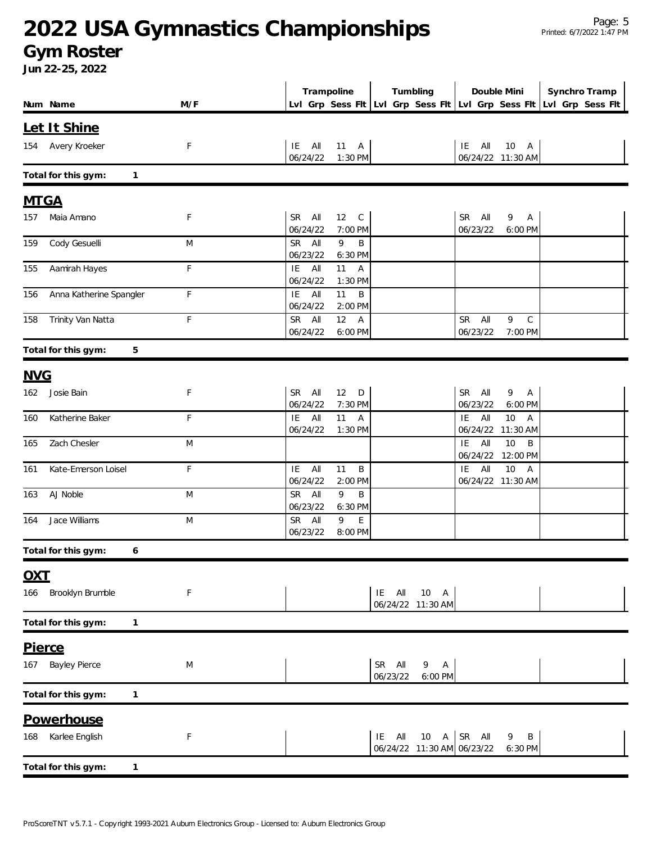#### **Gym Roster**

|               | Num Name                            | M/F         | Trampoline            |                                 | Tumbling                                        | Double Mini                                                 | Synchro Tramp<br>LvI Grp Sess Fit LvI Grp Sess Fit LvI Grp Sess Fit LvI Grp Sess Fit |
|---------------|-------------------------------------|-------------|-----------------------|---------------------------------|-------------------------------------------------|-------------------------------------------------------------|--------------------------------------------------------------------------------------|
|               | Let It Shine                        |             |                       |                                 |                                                 |                                                             |                                                                                      |
|               | 154 Avery Kroeker                   | F           | IE<br>All<br>06/24/22 | $11 \quad A$<br>1:30 PM         |                                                 | IE All 10 A<br>06/24/22 11:30 AM                            |                                                                                      |
|               | Total for this gym:<br>$\mathbf{1}$ |             |                       |                                 |                                                 |                                                             |                                                                                      |
| <b>MTGA</b>   |                                     |             |                       |                                 |                                                 |                                                             |                                                                                      |
| 157           | Maia Amano                          | F           | SR All<br>06/24/22    | $\,$ C<br>12<br>7:00 PM         |                                                 | SR All<br>9<br>A<br>06/23/22<br>6:00 PM                     |                                                                                      |
| 159           | Cody Gesuelli                       | M           | SR All<br>06/23/22    | B<br>9<br>6:30 PM               |                                                 |                                                             |                                                                                      |
| 155           | Aamirah Hayes                       | F           | IE<br>All<br>06/24/22 | 11<br>$\overline{A}$<br>1:30 PM |                                                 |                                                             |                                                                                      |
| 156           | Anna Katherine Spangler             | F           | IE<br>All<br>06/24/22 | B<br>11<br>2:00 PM              |                                                 |                                                             |                                                                                      |
| 158           | Trinity Van Natta                   | F           | SR All<br>06/24/22    | $12 \quad A$<br>6:00 PM         |                                                 | $\mathsf C$<br>9<br><b>SR</b><br>All<br>06/23/22<br>7:00 PM |                                                                                      |
|               | Total for this gym:<br>5            |             |                       |                                 |                                                 |                                                             |                                                                                      |
| <b>NVG</b>    |                                     |             |                       |                                 |                                                 |                                                             |                                                                                      |
| 162           | Josie Bain                          | F           | SR All<br>06/24/22    | 12<br>$\mathsf{D}$<br>7:30 PM   |                                                 | <b>SR</b><br>All<br>9<br>A<br>06/23/22<br>6:00 PM           |                                                                                      |
| 160           | Katherine Baker                     | $\mathsf F$ | IE<br>All<br>06/24/22 | 11<br>A<br>1:30 PM              |                                                 | $10$<br>IE<br>All<br>$\mathsf{A}$<br>06/24/22<br>11:30 AM   |                                                                                      |
| 165           | Zach Chesler                        | M           |                       |                                 |                                                 | $10$<br>IE<br>All<br>B<br>06/24/22<br>12:00 PM              |                                                                                      |
| 161           | Kate-Emerson Loisel                 | $\mathsf F$ | IE<br>All<br>06/24/22 | 11<br>B<br>2:00 PM              |                                                 | $10$<br>IE<br>All<br>A<br>06/24/22 11:30 AM                 |                                                                                      |
| 163           | AJ Noble                            | M           | SR All<br>06/23/22    | 9<br>B<br>6:30 PM               |                                                 |                                                             |                                                                                      |
| 164           | Jace Williams                       | ${\sf M}$   | SR All<br>06/23/22    | E<br>9<br>8:00 PM               |                                                 |                                                             |                                                                                      |
|               | Total for this gym:<br>6            |             |                       |                                 |                                                 |                                                             |                                                                                      |
| <u>OXT</u>    |                                     |             |                       |                                 |                                                 |                                                             |                                                                                      |
| 166           | Brooklyn Brumble                    | F           |                       |                                 | ΙE<br>All<br>10 A<br>06/24/22 11:30 AM          |                                                             |                                                                                      |
|               | Total for this gym:<br>$\mathbf{1}$ |             |                       |                                 |                                                 |                                                             |                                                                                      |
| <b>Pierce</b> |                                     |             |                       |                                 |                                                 |                                                             |                                                                                      |
| 167           | <b>Bayley Pierce</b>                | M           |                       |                                 | SR All<br>9<br>Α<br>06/23/22<br>6:00 PM         |                                                             |                                                                                      |
|               | Total for this gym:<br>$\mathbf{1}$ |             |                       |                                 |                                                 |                                                             |                                                                                      |
|               | Powerhouse                          |             |                       |                                 |                                                 |                                                             |                                                                                      |
|               | 168 Karlee English                  | F           |                       |                                 | IE<br>All<br>10 A<br>06/24/22 11:30 AM 06/23/22 | ${\sf SR}$<br>All<br>9<br>Β<br>6:30 PM                      |                                                                                      |
|               | Total for this gym:<br>$\mathbf{1}$ |             |                       |                                 |                                                 |                                                             |                                                                                      |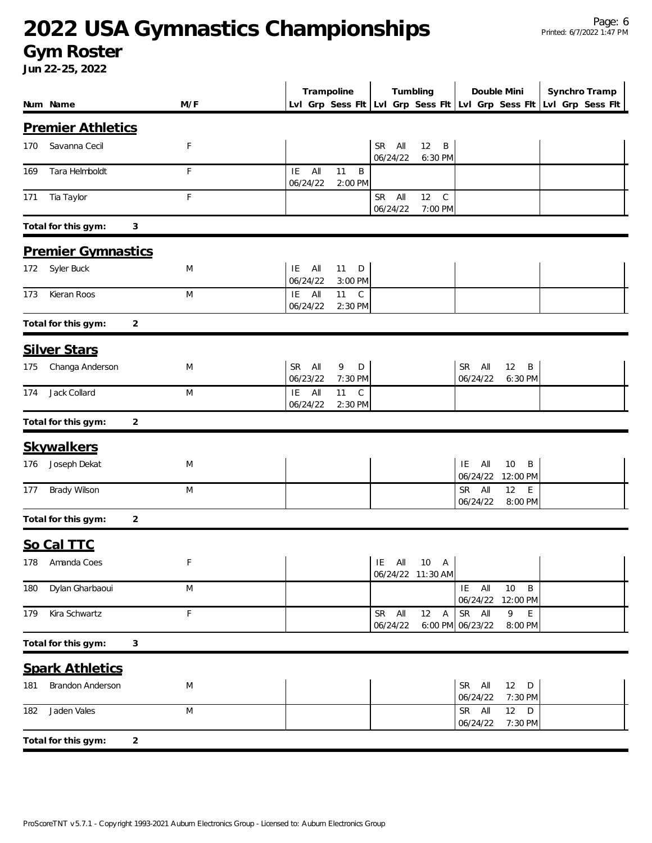#### **Gym Roster**

|     |                           |     | Trampoline                                            | Tumbling                                                     | Double Mini                                               | Synchro Tramp                                                       |
|-----|---------------------------|-----|-------------------------------------------------------|--------------------------------------------------------------|-----------------------------------------------------------|---------------------------------------------------------------------|
|     | Num Name                  | M/F |                                                       |                                                              |                                                           | Lvl Grp Sess Flt Lvl Grp Sess Flt Lvl Grp Sess Flt Lvl Grp Sess Flt |
|     | <b>Premier Athletics</b>  |     |                                                       |                                                              |                                                           |                                                                     |
| 170 | Savanna Cecil             | F   |                                                       | SR<br>All<br>12<br>$\sf B$<br>06/24/22<br>6:30 PM            |                                                           |                                                                     |
| 169 | Tara Helmboldt            | F   | IE<br>All<br>11<br>B<br>06/24/22<br>2:00 PM           |                                                              |                                                           |                                                                     |
| 171 | Tia Taylor                | F   |                                                       | 12<br>$\mathbb C$<br><b>SR</b><br>All<br>06/24/22<br>7:00 PM |                                                           |                                                                     |
|     | Total for this gym:       | 3   |                                                       |                                                              |                                                           |                                                                     |
|     | <b>Premier Gymnastics</b> |     |                                                       |                                                              |                                                           |                                                                     |
|     | 172 Syler Buck            | M   | IE<br>All<br>11<br>D<br>06/24/22<br>$3:00$ PM         |                                                              |                                                           |                                                                     |
| 173 | Kieran Roos               | M   | IE<br>All<br>11<br>$\mathsf C$<br>06/24/22<br>2:30 PM |                                                              |                                                           |                                                                     |
|     | Total for this gym:       | 2   |                                                       |                                                              |                                                           |                                                                     |
|     | <b>Silver Stars</b>       |     |                                                       |                                                              |                                                           |                                                                     |
| 175 | Changa Anderson           | M   | SR<br>All<br>9<br>D<br>06/23/22<br>7:30 PM            |                                                              | <b>SR</b><br>All<br>12<br>Β<br>06/24/22<br>6:30 PM        |                                                                     |
| 174 | Jack Collard              | M   | IE<br>All<br>C<br>11<br>06/24/22<br>2:30 PM           |                                                              |                                                           |                                                                     |
|     | Total for this gym:       | 2   |                                                       |                                                              |                                                           |                                                                     |
|     | Skywalkers                |     |                                                       |                                                              |                                                           |                                                                     |
| 176 | Joseph Dekat              | M   |                                                       |                                                              | IE<br>All<br>10<br>B<br>06/24/22<br>12:00 PM              |                                                                     |
| 177 | Brady Wilson              | M   |                                                       |                                                              | 12<br>E<br>SR All<br>06/24/22<br>8:00 PM                  |                                                                     |
|     | Total for this gym:       | 2   |                                                       |                                                              |                                                           |                                                                     |
|     | So Cal TTC                |     |                                                       |                                                              |                                                           |                                                                     |
| 178 | Amanda Coes               | F   |                                                       | 10 A<br>IE<br>All<br>06/24/22 11:30 AM                       |                                                           |                                                                     |
| 180 | Dylan Gharbaoui           | M   |                                                       |                                                              | IE<br>$10$<br>B<br>All<br>06/24/22<br>12:00 PM            |                                                                     |
| 179 | Kira Schwartz             | F   |                                                       | 12<br>SR All<br>$\mathsf{A}$<br>06/24/22                     | $\mathsf E$<br>SR All<br>9<br>6:00 PM 06/23/22<br>8:00 PM |                                                                     |
|     | Total for this gym:       | 3   |                                                       |                                                              |                                                           |                                                                     |
|     | <b>Spark Athletics</b>    |     |                                                       |                                                              |                                                           |                                                                     |
| 181 | Brandon Anderson          | M   |                                                       |                                                              | SR All<br>12<br>$\mathsf D$<br>06/24/22<br>7:30 PM        |                                                                     |
| 182 | Jaden Vales               | M   |                                                       |                                                              | SR All<br>12 D<br>06/24/22<br>7:30 PM                     |                                                                     |
|     | Total for this gym:       | 2   |                                                       |                                                              |                                                           |                                                                     |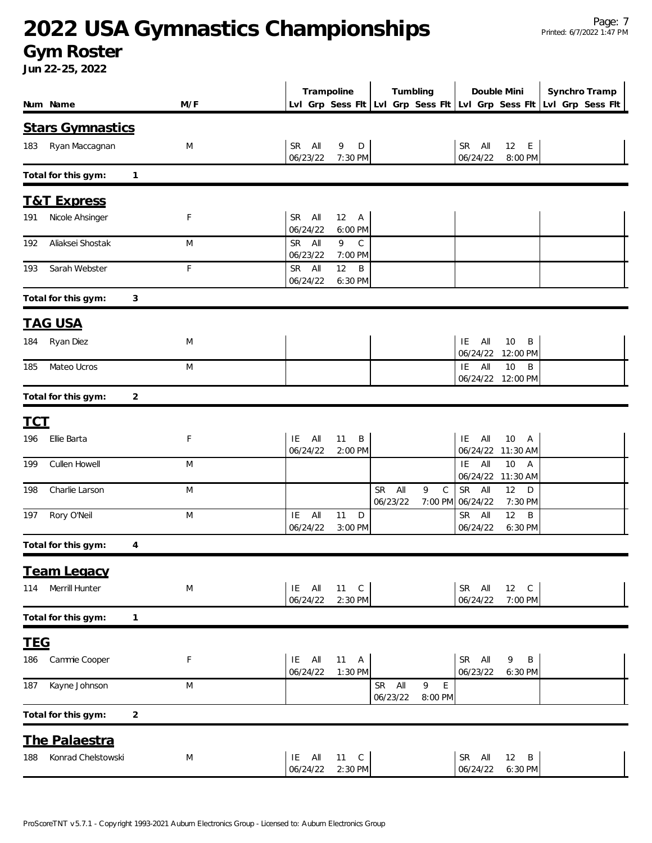#### **Gym Roster**

|            | Num Name                | M/F            | Trampoline                                                  | Tumbling                                | Double Mini                                         | Synchro Tramp<br>Lvl Grp Sess Flt Lvl Grp Sess Flt Lvl Grp Sess Flt Lvl Grp Sess Flt |
|------------|-------------------------|----------------|-------------------------------------------------------------|-----------------------------------------|-----------------------------------------------------|--------------------------------------------------------------------------------------|
|            | <b>Stars Gymnastics</b> |                |                                                             |                                         |                                                     |                                                                                      |
| 183        | Ryan Maccagnan          | M              | SR All<br>9<br>D<br>06/23/22<br>7:30 PM                     |                                         | SR All<br>12 E<br>06/24/22<br>8:00 PM               |                                                                                      |
|            | Total for this gym:     | $\overline{1}$ |                                                             |                                         |                                                     |                                                                                      |
|            | <b>T&amp;T Express</b>  |                |                                                             |                                         |                                                     |                                                                                      |
| 191        | Nicole Ahsinger         | F              | <b>SR</b><br>All<br>12<br>A<br>06/24/22<br>6:00 PM          |                                         |                                                     |                                                                                      |
| 192        | Aliaksei Shostak        | M              | $\mathsf C$<br><b>SR</b><br>All<br>9<br>06/23/22<br>7:00 PM |                                         |                                                     |                                                                                      |
| 193        | Sarah Webster           | F              | <b>SR</b><br>All<br>B<br>12<br>06/24/22<br>6:30 PM          |                                         |                                                     |                                                                                      |
|            | Total for this gym:     | 3              |                                                             |                                         |                                                     |                                                                                      |
|            | <b>TAG USA</b>          |                |                                                             |                                         |                                                     |                                                                                      |
| 184        | Ryan Diez               | M              |                                                             |                                         | IE<br>All<br>10<br>B<br>06/24/22<br>12:00 PM        |                                                                                      |
| 185        | Mateo Ucros             | M              |                                                             |                                         | All<br>10<br>B<br>IE<br>06/24/22 12:00 PM           |                                                                                      |
|            | Total for this gym:     | 2              |                                                             |                                         |                                                     |                                                                                      |
| <b>TCT</b> |                         |                |                                                             |                                         |                                                     |                                                                                      |
| 196        | Ellie Barta             | F              | 11<br>IE<br>All<br>B<br>06/24/22<br>2:00 PM                 |                                         | IE All<br>10 A<br>06/24/22<br>11:30 AM              |                                                                                      |
| 199        | Cullen Howell           | M              |                                                             |                                         | IE<br>All<br>10<br><b>A</b><br>06/24/22<br>11:30 AM |                                                                                      |
| 198        | Charlie Larson          | M              |                                                             | SR<br>All<br>9<br>C<br>06/23/22         | SR All<br>12<br>D<br>7:00 PM 06/24/22<br>7:30 PM    |                                                                                      |
| 197        | Rory O'Neil             | ${\sf M}$      | IE<br>All<br>11<br>D<br>06/24/22<br>3:00 PM                 |                                         | 12<br>SR All<br>B<br>06/24/22<br>6:30 PM            |                                                                                      |
|            | Total for this gym:     | 4              |                                                             |                                         |                                                     |                                                                                      |
|            | <b>Team Legacy</b>      |                |                                                             |                                         |                                                     |                                                                                      |
|            | 114 Merrill Hunter      | M              | IE<br>All<br>11<br>C<br>06/24/22<br>2:30 PM                 |                                         | SR<br>All<br>12<br>${\rm C}$<br>06/24/22<br>7:00 PM |                                                                                      |
|            | Total for this gym:     | $\mathbf{1}$   |                                                             |                                         |                                                     |                                                                                      |
| <b>TEG</b> |                         |                |                                                             |                                         |                                                     |                                                                                      |
|            | 186 Cammie Cooper       | F              | IE<br>All<br>11<br>$\overline{A}$<br>06/24/22<br>1:30 PM    |                                         | SR<br>All<br>9<br>B<br>06/23/22<br>6:30 PM          |                                                                                      |
| 187        | Kayne Johnson           | ${\sf M}$      |                                                             | SR All<br>9<br>Е<br>06/23/22<br>8:00 PM |                                                     |                                                                                      |
|            | Total for this gym:     | $\overline{2}$ |                                                             |                                         |                                                     |                                                                                      |
|            | The Palaestra           |                |                                                             |                                         |                                                     |                                                                                      |
| 188        | Konrad Chelstowski      | M              | IE<br>All<br>11<br>${\mathbb C}$<br>06/24/22<br>2:30 PM     |                                         | SR All<br>12<br>B<br>06/24/22<br>6:30 PM            |                                                                                      |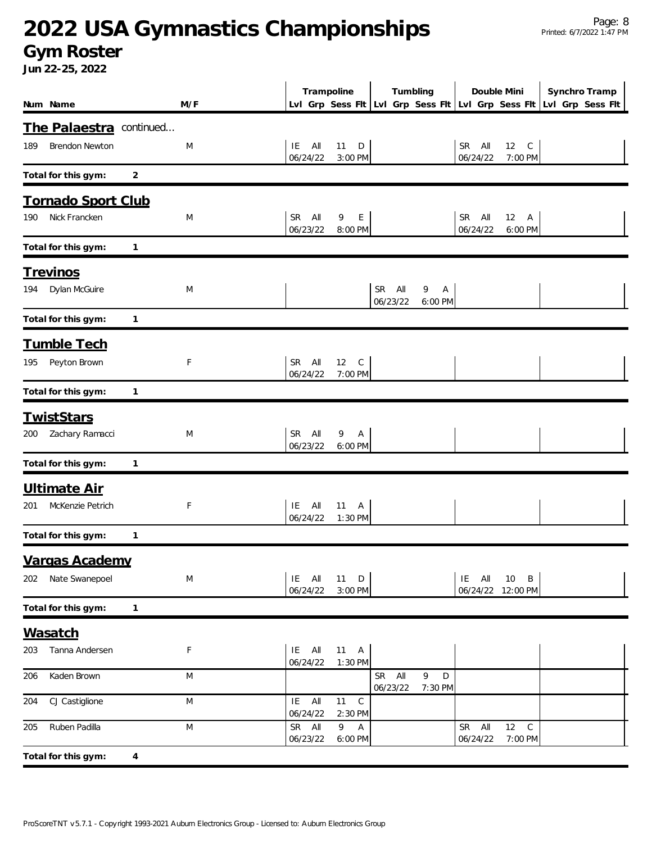#### **Gym Roster**

| Num Name                     | M/F            | Trampoline<br>Synchro Tramp<br>Tumbling<br>Double Mini<br>Lvl Grp Sess Fit Lvl Grp Sess Fit Lvl Grp Sess Fit Lvl Grp Sess Fit                |
|------------------------------|----------------|----------------------------------------------------------------------------------------------------------------------------------------------|
| The Palaestra continued      |                |                                                                                                                                              |
| <b>Brendon Newton</b><br>189 | M              | SR<br>${\rm C}$<br>IE<br>All<br>11<br>D<br>All<br>12<br>06/24/22<br>3:00 PM<br>06/24/22<br>7:00 PM                                           |
| Total for this gym:          | $\overline{2}$ |                                                                                                                                              |
| Tornado Sport Club           |                |                                                                                                                                              |
| Nick Francken<br>190         | M              | $\mathsf E$<br>SR<br>SR All<br>All<br>9<br>12<br>A<br>06/23/22<br>06/24/22<br>8:00 PM<br>6:00 PM                                             |
| Total for this gym:          | $\mathbf{1}$   |                                                                                                                                              |
| <u>Trevinos</u>              |                |                                                                                                                                              |
| Dylan McGuire<br>194         | M              | SR All<br>9<br>Α<br>06/23/22<br>6:00 PM                                                                                                      |
| Total for this gym:          | $\mathbf{1}$   |                                                                                                                                              |
| <u>Tumble Tech</u>           |                |                                                                                                                                              |
| 195 Peyton Brown             | F              | <b>SR</b><br>All<br>12<br>$\mathsf{C}$<br>06/24/22<br>7:00 PM                                                                                |
| Total for this gym:          | $\mathbf{1}$   |                                                                                                                                              |
| <b>TwistStars</b>            |                |                                                                                                                                              |
| Zachary Ramacci<br>200       | M              | <b>SR</b><br>All<br>9<br>Α<br>06/23/22<br>6:00 PM                                                                                            |
| Total for this gym:          | $\mathbf{1}$   |                                                                                                                                              |
| Ultimate Air                 |                |                                                                                                                                              |
| McKenzie Petrich<br>201      | F              | IE<br>All<br>11<br>A<br>06/24/22<br>1:30 PM                                                                                                  |
| Total for this gym:          | 1              |                                                                                                                                              |
| Vargas Academy               |                |                                                                                                                                              |
| Nate Swanepoel<br>202        | M              | IE<br>All<br>11<br>IE<br>All<br>10<br>D<br>Β<br>06/24/22<br>3:00 PM<br>06/24/22 12:00 PM                                                     |
| Total for this gym:          | $\mathbf{1}$   |                                                                                                                                              |
| Wasatch                      |                |                                                                                                                                              |
| Tanna Andersen<br>203        | F              | IE<br>All<br>11<br>A<br>06/24/22                                                                                                             |
| Kaden Brown<br>206           | ${\sf M}$      | 1:30 PM<br><b>SR</b><br>$A\parallel$<br>9<br>$\mathsf D$<br>06/23/22<br>7:30 PM                                                              |
| CJ Castiglione<br>204        | ${\sf M}$      | IE<br>All<br>11<br>$\mathbb C$                                                                                                               |
| Ruben Padilla<br>205         | ${\sf M}$      | 06/24/22<br>2:30 PM<br>${\sf SR}$<br>12<br>$\mathsf C$<br>SR<br>All<br>9<br>$\mathsf A$<br>All<br>06/23/22<br>6:00 PM<br>06/24/22<br>7:00 PM |
| Total for this gym:          | 4              |                                                                                                                                              |